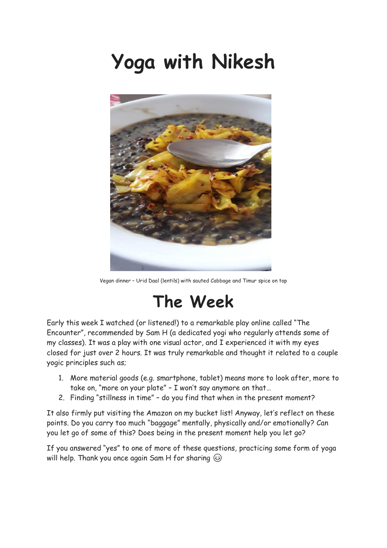# **Yoga with Nikesh**



Vegan dinner – Urid Daal (lentils) with sauted Cabbage and Timur spice on top

#### **The Week**

Early this week I watched (or listened!) to a remarkable play online called "The Encounter", recommended by Sam H (a dedicated yogi who regularly attends some of my classes). It was a play with one visual actor, and I experienced it with my eyes closed for just over 2 hours. It was truly remarkable and thought it related to a couple yogic principles such as;

- 1. More material goods (e.g. smartphone, tablet) means more to look after, more to take on, "more on your plate" – I won't say anymore on that…
- 2. Finding "stillness in time" do you find that when in the present moment?

It also firmly put visiting the Amazon on my bucket list! Anyway, let's reflect on these points. Do you carry too much "baggage" mentally, physically and/or emotionally? Can you let go of some of this? Does being in the present moment help you let go?

If you answered "yes" to one of more of these questions, practicing some form of yoga will help. Thank you once again Sam H for sharing  $\circledcirc$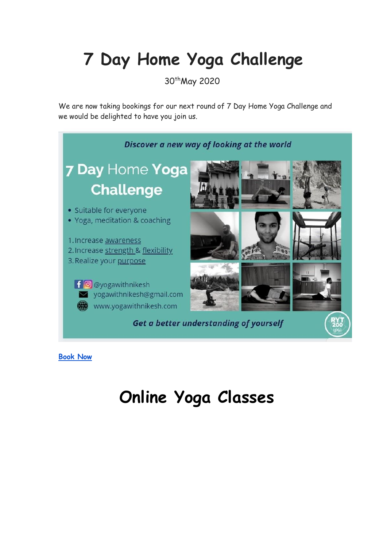## **7 Day Home Yoga Challenge**

30thMay 2020

We are now taking bookings for our next round of 7 Day Home Yoga Challenge and we would be delighted to have you join us.



**[Book Now](https://www.yogawithnikesh.com/7-day)**

## **Online Yoga Classes**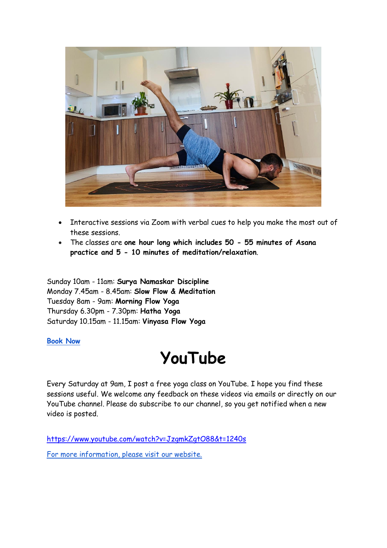

- Interactive sessions via Zoom with verbal cues to help you make the most out of these sessions.
- The classes are **one hour long which includes 50 - 55 minutes of Asana practice and 5 - 10 minutes of meditation/relaxation**.

Sunday 10am - 11am: **Surya Namaskar Discipline** Monday 7.45am - 8.45am: **Slow Flow & Meditation** Tuesday 8am - 9am: **Morning Flow Yoga** Thursday 6.30pm - 7.30pm: **Hatha Yoga** Saturday 10.15am - 11.15am: **Vinyasa Flow Yoga**

**[Book Now](https://www.yogawithnikesh.com/online-classes)**

### **YouTube**

Every Saturday at 9am, I post a free yoga class on YouTube. I hope you find these sessions useful. We welcome any feedback on these videos via emails or directly on our YouTube channel. Please do subscribe to our channel, so you get notified when a new video is posted.

<https://www.youtube.com/watch?v=JzgmkZgtO88&t=1240s>

[For more information, please visit our website.](https://www.yogawithnikesh.com/)